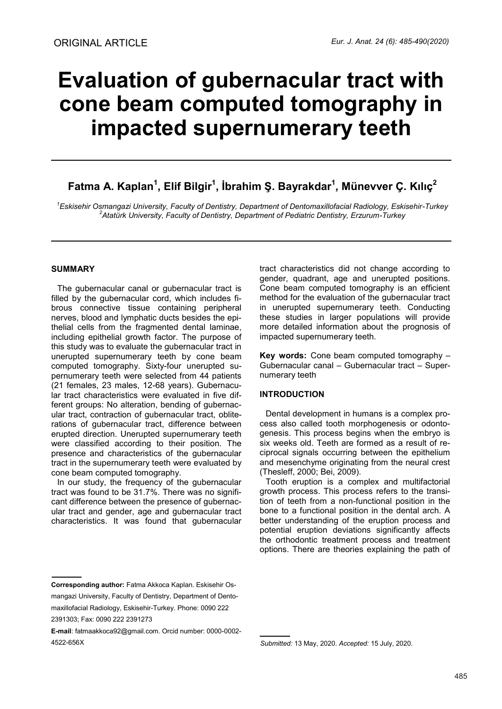# **Evaluation of gubernacular tract with cone beam computed tomography in impacted supernumerary teeth**

# **Fatma A. Kaplan<sup>1</sup> , Elif Bilgir<sup>1</sup> , İbrahim Ş. Bayrakdar<sup>1</sup> , Münevver Ç. Kılıç<sup>2</sup>**

*<sup>1</sup>Eskisehir Osmangazi University, Faculty of Dentistry, Department of Dentomaxillofacial Radiology, Eskisehir-Turkey <sup>2</sup>Atatürk University, Faculty of Dentistry, Department of Pediatric Dentistry, Erzurum-Turkey* 

# **SUMMARY**

The gubernacular canal or gubernacular tract is filled by the gubernacular cord, which includes fibrous connective tissue containing peripheral nerves, blood and lymphatic ducts besides the epithelial cells from the fragmented dental laminae, including epithelial growth factor. The purpose of this study was to evaluate the gubernacular tract in unerupted supernumerary teeth by cone beam computed tomography. Sixty-four unerupted supernumerary teeth were selected from 44 patients (21 females, 23 males, 12-68 years). Gubernacular tract characteristics were evaluated in five different groups: No alteration, bending of gubernacular tract, contraction of gubernacular tract, obliterations of gubernacular tract, difference between erupted direction. Unerupted supernumerary teeth were classified according to their position. The presence and characteristics of the gubernacular tract in the supernumerary teeth were evaluated by cone beam computed tomography.

In our study, the frequency of the gubernacular tract was found to be 31.7%. There was no significant difference between the presence of gubernacular tract and gender, age and gubernacular tract characteristics. It was found that gubernacular tract characteristics did not change according to gender, quadrant, age and unerupted positions. Cone beam computed tomography is an efficient method for the evaluation of the gubernacular tract in unerupted supernumerary teeth. Conducting these studies in larger populations will provide more detailed information about the prognosis of impacted supernumerary teeth.

**Key words:** Cone beam computed tomography – Gubernacular canal – Gubernacular tract – Supernumerary teeth

# **INTRODUCTION**

Dental development in humans is a complex process also called tooth morphogenesis or odontogenesis. This process begins when the embryo is six weeks old. Teeth are formed as a result of reciprocal signals occurring between the epithelium and mesenchyme originating from the neural crest (Thesleff, 2000; Bei, 2009).

Tooth eruption is a complex and multifactorial growth process. This process refers to the transition of teeth from a non-functional position in the bone to a functional position in the dental arch. A better understanding of the eruption process and potential eruption deviations significantly affects the orthodontic treatment process and treatment options. There are theories explaining the path of

**Corresponding author:** Fatma Akkoca Kaplan. Eskisehir Osmangazi University, Faculty of Dentistry, Department of Dentomaxillofacial Radiology, Eskisehir-Turkey. Phone: 0090 222 2391303; Fax: 0090 222 2391273

**E-mail**: fatmaakkoca92@gmail.com. Orcid number: 0000-0002- 4522-656X

*Submitted:* 13 May, 2020. *Accepted:* 15 July, 2020.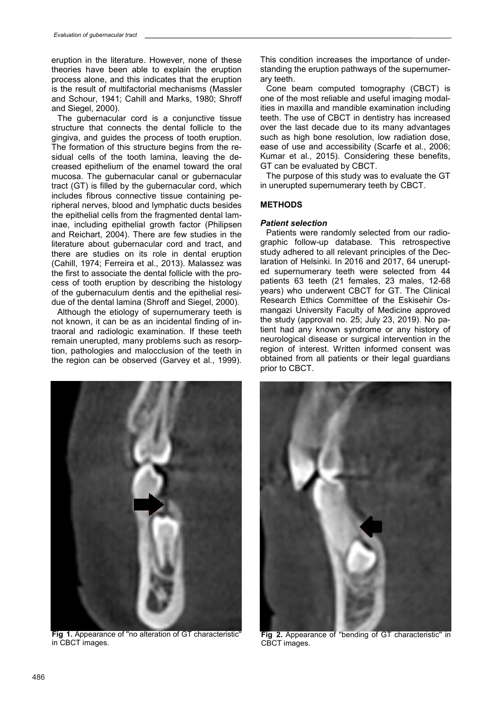eruption in the literature. However, none of these theories have been able to explain the eruption process alone, and this indicates that the eruption is the result of multifactorial mechanisms (Massler and Schour, 1941; Cahill and Marks, 1980; Shroff and Siegel, 2000).

The gubernacular cord is a conjunctive tissue structure that connects the dental follicle to the gingiva, and guides the process of tooth eruption. The formation of this structure begins from the residual cells of the tooth lamina, leaving the decreased epithelium of the enamel toward the oral mucosa. The gubernacular canal or gubernacular tract (GT) is filled by the gubernacular cord, which includes fibrous connective tissue containing peripheral nerves, blood and lymphatic ducts besides the epithelial cells from the fragmented dental laminae, including epithelial growth factor (Philipsen and Reichart, 2004). There are few studies in the literature about gubernacular cord and tract, and there are studies on its role in dental eruption (Cahill, 1974; Ferreira et al., 2013). Malassez was the first to associate the dental follicle with the process of tooth eruption by describing the histology of the gubernaculum dentis and the epithelial residue of the dental lamina (Shroff and Siegel, 2000).

Although the etiology of supernumerary teeth is not known, it can be as an incidental finding of intraoral and radiologic examination. If these teeth remain unerupted, many problems such as resorption, pathologies and malocclusion of the teeth in the region can be observed (Garvey et al., 1999).



**Fig 1.** Appearance of ''no alteration of GT characteristic'' in CBCT images.

This condition increases the importance of understanding the eruption pathways of the supernumerary teeth.

Cone beam computed tomography (CBCT) is one of the most reliable and useful imaging modalities in maxilla and mandible examination including teeth. The use of CBCT in dentistry has increased over the last decade due to its many advantages such as high bone resolution, low radiation dose, ease of use and accessibility (Scarfe et al., 2006; Kumar et al., 2015). Considering these benefits, GT can be evaluated by CBCT.

The purpose of this study was to evaluate the GT in unerupted supernumerary teeth by CBCT.

# **METHODS**

# *Patient selection*

Patients were randomly selected from our radiographic follow-up database. This retrospective study adhered to all relevant principles of the Declaration of Helsinki. In 2016 and 2017, 64 unerupted supernumerary teeth were selected from 44 patients 63 teeth (21 females, 23 males, 12-68 years) who underwent CBCT for GT. The Clinical Research Ethics Committee of the Eskisehir Osmangazi University Faculty of Medicine approved the study (approval no. 25; July 23, 2019). No patient had any known syndrome or any history of neurological disease or surgical intervention in the region of interest. Written informed consent was obtained from all patients or their legal guardians prior to CBCT.



**Fig 2.** Appearance of ''bending of GT characteristic'' in CBCT images.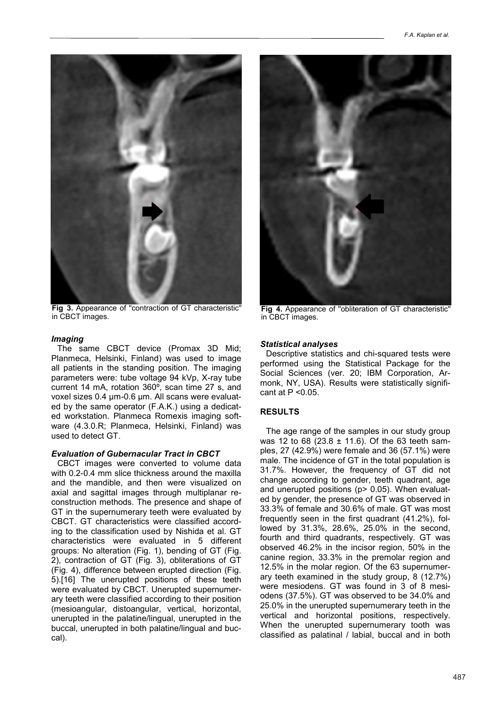

**Fig 3.** Appearance of ''contraction of GT characteristic'' in CBCT images.

#### *Imaging*

The same CBCT device (Promax 3D Mid; Planmeca, Helsinki, Finland) was used to image all patients in the standing position. The imaging parameters were: tube voltage 94 kVp, X-ray tube current 14 mA, rotation 360º, scan time 27 s, and voxel sizes 0.4 µm-0.6 µm. All scans were evaluated by the same operator (F.A.K.) using a dedicated workstation. Planmeca Romexis imaging software (4.3.0.R; Planmeca, Helsinki, Finland) was used to detect GT.

#### *Evaluation of Gubernacular Tract in CBCT*

CBCT images were converted to volume data with 0.2-0.4 mm slice thickness around the maxilla and the mandible, and then were visualized on axial and sagittal images through multiplanar reconstruction methods. The presence and shape of GT in the supernumerary teeth were evaluated by CBCT. GT characteristics were classified according to the classification used by Nishida et al. GT characteristics were evaluated in 5 different groups: No alteration (Fig. 1), bending of GT (Fig. 2), contraction of GT (Fig. 3), obliterations of GT (Fig. 4), difference between erupted direction (Fig. 5).[16] The unerupted positions of these teeth were evaluated by CBCT. Unerupted supernumerary teeth were classified according to their position (mesioangular, distoangular, vertical, horizontal, unerupted in the palatine/lingual, unerupted in the buccal, unerupted in both palatine/lingual and buccal).



**Fig 4.** Appearance of ''obliteration of GT characteristic'' in CBCT images.

#### *Statistical analyses*

Descriptive statistics and chi-squared tests were performed using the Statistical Package for the Social Sciences (ver. 20; IBM Corporation, Armonk, NY, USA). Results were statistically significant at P <0.05.

# **RESULTS**

The age range of the samples in our study group was 12 to 68 (23.8  $\pm$  11.6). Of the 63 teeth samples, 27 (42.9%) were female and 36 (57.1%) were male. The incidence of GT in the total population is 31.7%. However, the frequency of GT did not change according to gender, teeth quadrant, age and unerupted positions (p> 0.05). When evaluated by gender, the presence of GT was observed in 33.3% of female and 30.6% of male. GT was most frequently seen in the first quadrant (41.2%), followed by 31.3%, 28.6%, 25.0% in the second, fourth and third quadrants, respectively. GT was observed 46.2% in the incisor region, 50% in the canine region, 33.3% in the premolar region and 12.5% in the molar region. Of the 63 supernumerary teeth examined in the study group, 8 (12.7%) were mesiodens. GT was found in 3 of 8 mesiodens (37.5%). GT was observed to be 34.0% and 25.0% in the unerupted supernumerary teeth in the vertical and horizontal positions, respectively. When the unerupted supernumerary tooth was classified as palatinal / labial, buccal and in both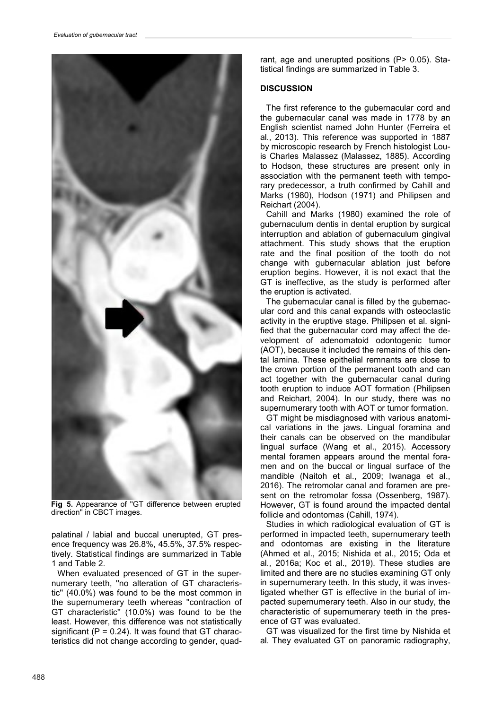

**Fig 5.** Appearance of ''GT difference between erupted direction'' in CBCT images.

palatinal / labial and buccal unerupted, GT presence frequency was 26.8%, 45.5%, 37.5% respectively. Statistical findings are summarized in Table 1 and Table 2.

When evaluated presenced of GT in the supernumerary teeth, ''no alteration of GT characteristic'' (40.0%) was found to be the most common in the supernumerary teeth whereas ''contraction of GT characteristic'' (10.0%) was found to be the least. However, this difference was not statistically significant  $(P = 0.24)$ . It was found that GT characteristics did not change according to gender, quadrant, age and unerupted positions (P> 0.05). Statistical findings are summarized in Table 3.

# **DISCUSSION**

The first reference to the gubernacular cord and the gubernacular canal was made in 1778 by an English scientist named John Hunter (Ferreira et al., 2013). This reference was supported in 1887 by microscopic research by French histologist Louis Charles Malassez (Malassez, 1885). According to Hodson, these structures are present only in association with the permanent teeth with temporary predecessor, a truth confirmed by Cahill and Marks (1980), Hodson (1971) and Philipsen and Reichart (2004).

Cahill and Marks (1980) examined the role of gubernaculum dentis in dental eruption by surgical interruption and ablation of gubernaculum gingival attachment. This study shows that the eruption rate and the final position of the tooth do not change with gubernacular ablation just before eruption begins. However, it is not exact that the GT is ineffective, as the study is performed after the eruption is activated.

The gubernacular canal is filled by the gubernacular cord and this canal expands with osteoclastic activity in the eruptive stage. Philipsen et al. signified that the gubernacular cord may affect the development of adenomatoid odontogenic tumor (AOT), because it included the remains of this dental lamina. These epithelial remnants are close to the crown portion of the permanent tooth and can act together with the gubernacular canal during tooth eruption to induce AOT formation (Philipsen and Reichart, 2004). In our study, there was no supernumerary tooth with AOT or tumor formation.

GT might be misdiagnosed with various anatomical variations in the jaws. Lingual foramina and their canals can be observed on the mandibular lingual surface (Wang et al., 2015). Accessory mental foramen appears around the mental foramen and on the buccal or lingual surface of the mandible (Naitoh et al., 2009; Iwanaga et al., 2016). The retromolar canal and foramen are present on the retromolar fossa (Ossenberg, 1987). However, GT is found around the impacted dental follicle and odontomas (Cahill, 1974).

Studies in which radiological evaluation of GT is performed in impacted teeth, supernumerary teeth and odontomas are existing in the literature (Ahmed et al., 2015; Nishida et al., 2015; Oda et al., 2016a; Koc et al., 2019). These studies are limited and there are no studies examining GT only in supernumerary teeth. In this study, it was investigated whether GT is effective in the burial of impacted supernumerary teeth. Also in our study, the characteristic of supernumerary teeth in the presence of GT was evaluated.

GT was visualized for the first time by Nishida et al. They evaluated GT on panoramic radiography,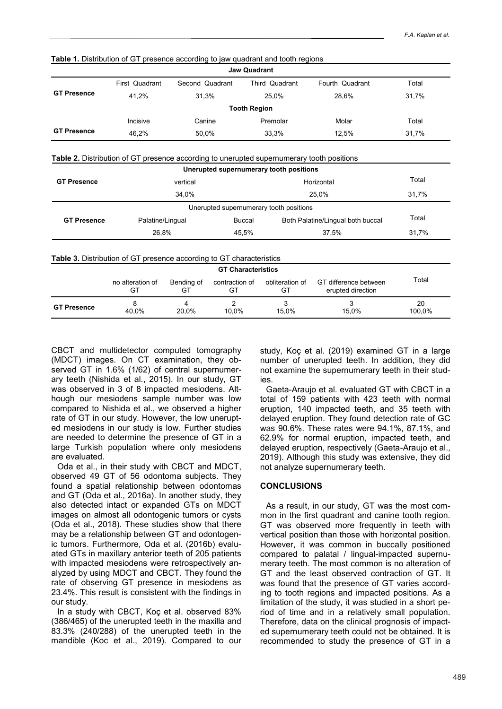| <b>Jaw Quadrant</b> |                |                 |                     |                 |       |  |  |  |  |  |
|---------------------|----------------|-----------------|---------------------|-----------------|-------|--|--|--|--|--|
|                     | First Quadrant | Second Quadrant | Third Quadrant      | Fourth Quadrant | Total |  |  |  |  |  |
| <b>GT Presence</b>  | 41.2%          | 31.3%           | 25.0%               | 28.6%           | 31,7% |  |  |  |  |  |
|                     |                |                 | <b>Tooth Region</b> |                 |       |  |  |  |  |  |
|                     | Incisive       | Canine          | Premolar            | Molar           | Total |  |  |  |  |  |
| <b>GT Presence</b>  | 46,2%          | 50,0%           | 33,3%               | 12.5%           | 31,7% |  |  |  |  |  |

**Table 1.** Distribution of GT presence according to jaw quadrant and tooth regions

**Table 2.** Distribution of GT presence according to unerupted supernumerary tooth positions

|                    |                                                                             |                  |                           | Unerupted supernumerary tooth positions |                                            |              |
|--------------------|-----------------------------------------------------------------------------|------------------|---------------------------|-----------------------------------------|--------------------------------------------|--------------|
| <b>GT Presence</b> | vertical                                                                    |                  |                           | Horizontal                              |                                            | Total        |
|                    |                                                                             | 34,0%            |                           |                                         | 25,0%                                      |              |
|                    |                                                                             |                  |                           | Unerupted supernumerary tooth positions |                                            |              |
| <b>GT Presence</b> | Palatine/Lingual                                                            |                  | <b>Buccal</b>             | Both Palatine/Lingual both buccal       | Total                                      |              |
|                    | 26.8%                                                                       |                  | 45,5%                     | 37,5%                                   |                                            | 31,7%        |
|                    | <b>Table 3.</b> Distribution of GT presence according to GT characteristics |                  | <b>GT Characteristics</b> |                                         |                                            |              |
|                    | no alteration of<br>GT                                                      | Bending of<br>GT | contraction of<br>GT      | obliteration of<br>GT                   | GT difference between<br>erupted direction | Total        |
| <b>GT Presence</b> | 8<br>40.0%                                                                  | 4<br>20.0%       | 2<br>10.0%                | 3<br>15.0%                              | 3<br>15.0%                                 | 20<br>100.0% |

CBCT and multidetector computed tomography (MDCT) images. On CT examination, they observed GT in 1.6% (1/62) of central supernumerary teeth (Nishida et al., 2015). In our study, GT was observed in 3 of 8 impacted mesiodens. Although our mesiodens sample number was low compared to Nishida et al., we observed a higher rate of GT in our study. However, the low unerupted mesiodens in our study is low. Further studies are needed to determine the presence of GT in a large Turkish population where only mesiodens are evaluated.

Oda et al., in their study with CBCT and MDCT, observed 49 GT of 56 odontoma subjects. They found a spatial relationship between odontomas and GT (Oda et al., 2016a). In another study, they also detected intact or expanded GTs on MDCT images on almost all odontogenic tumors or cysts (Oda et al., 2018). These studies show that there may be a relationship between GT and odontogenic tumors. Furthermore, Oda et al. (2016b) evaluated GTs in maxillary anterior teeth of 205 patients with impacted mesiodens were retrospectively analyzed by using MDCT and CBCT. They found the rate of observing GT presence in mesiodens as 23.4%. This result is consistent with the findings in our study.

In a study with CBCT, Koç et al. observed 83% (386/465) of the unerupted teeth in the maxilla and 83.3% (240/288) of the unerupted teeth in the mandible (Koc et al., 2019). Compared to our

study, Koç et al. (2019) examined GT in a large number of unerupted teeth. In addition, they did not examine the supernumerary teeth in their studies.

Gaeta-Araujo et al. evaluated GT with CBCT in a total of 159 patients with 423 teeth with normal eruption, 140 impacted teeth, and 35 teeth with delayed eruption. They found detection rate of GC was 90.6%. These rates were 94.1%, 87.1%, and 62.9% for normal eruption, impacted teeth, and delayed eruption, respectively (Gaeta-Araujo et al., 2019). Although this study was extensive, they did not analyze supernumerary teeth.

# **CONCLUSIONS**

As a result, in our study, GT was the most common in the first quadrant and canine tooth region. GT was observed more frequently in teeth with vertical position than those with horizontal position. However, it was common in buccally positioned compared to palatal / lingual-impacted supernumerary teeth. The most common is no alteration of GT and the least observed contraction of GT. It was found that the presence of GT varies according to tooth regions and impacted positions. As a limitation of the study, it was studied in a short period of time and in a relatively small population. Therefore, data on the clinical prognosis of impacted supernumerary teeth could not be obtained. It is recommended to study the presence of GT in a